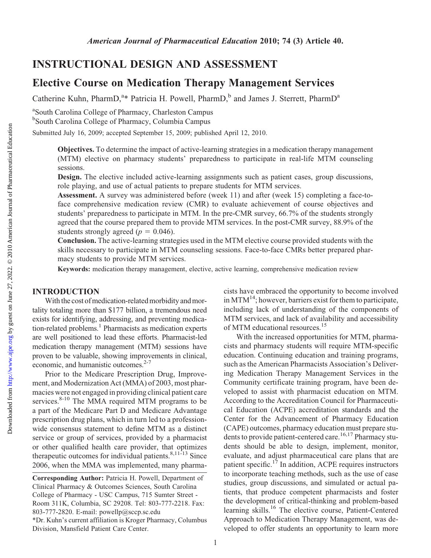Catherine Kuhn, PharmD,<sup>a\*</sup> Patricia H. Powell, PharmD,<sup>b</sup> and James J. Sterrett, PharmD<sup>a</sup>

<sup>a</sup>South Carolina College of Pharmacy, Charleston Campus <sup>b</sup>South Carolina College of Pharmacy, Columbia Campus

Submitted July 16, 2009; accepted September 15, 2009; published April 12, 2010.

Objectives. To determine the impact of active-learning strategies in a medication therapy management (MTM) elective on pharmacy students' preparedness to participate in real-life MTM counseling sessions.

Design. The elective included active-learning assignments such as patient cases, group discussions, role playing, and use of actual patients to prepare students for MTM services.

Assessment. A survey was administered before (week 11) and after (week 15) completing a face-toface comprehensive medication review (CMR) to evaluate achievement of course objectives and students' preparedness to participate in MTM. In the pre-CMR survey, 66.7% of the students strongly agreed that the course prepared them to provide MTM services. In the post-CMR survey, 88.9% of the students strongly agreed ( $p = 0.046$ ).

Conclusion. The active-learning strategies used in the MTM elective course provided students with the skills necessary to participate in MTM counseling sessions. Face-to-face CMRs better prepared pharmacy students to provide MTM services.

Keywords: medication therapy management, elective, active learning, comprehensive medication review

# INTRODUCTION

With the cost of medication-related morbidity and mortality totaling more than \$177 billion, a tremendous need exists for identifying, addressing, and preventing medication-related problems.<sup>1</sup> Pharmacists as medication experts are well positioned to lead these efforts. Pharmacist-led medication therapy management (MTM) sessions have proven to be valuable, showing improvements in clinical, economic, and humanistic outcomes.<sup>2-7</sup>

Prior to the Medicare Prescription Drug, Improvement, and Modernization Act (MMA) of 2003, most pharmacies were not engaged in providing clinical patient care services. $8-10$  The MMA required MTM programs to be a part of the Medicare Part D and Medicare Advantage prescription drug plans, which in turn led to a professionwide consensus statement to define MTM as a distinct service or group of services, provided by a pharmacist or other qualified health care provider, that optimizes therapeutic outcomes for individual patients.<sup>8,11-13</sup> Since 2006, when the MMA was implemented, many pharmacists have embraced the opportunity to become involved in MTM<sup>14</sup>; however, barriers exist for them to participate, including lack of understanding of the components of MTM services, and lack of availability and accessibility of MTM educational resources.<sup>15</sup>

With the increased opportunities for MTM, pharmacists and pharmacy students will require MTM-specific education. Continuing education and training programs, such as the American Pharmacists Association's Delivering Medication Therapy Management Services in the Community certificate training program, have been developed to assist with pharmacist education on MTM. According to the Accreditation Council for Pharmaceutical Education (ACPE) accreditation standards and the Center for the Advancement of Pharmacy Education (CAPE) outcomes, pharmacy education must prepare students to provide patient-centered care.<sup>16,17</sup> Pharmacy students should be able to design, implement, monitor, evaluate, and adjust pharmaceutical care plans that are patient specific.<sup>17</sup> In addition, ACPE requires instructors to incorporate teaching methods, such as the use of case studies, group discussions, and simulated or actual patients, that produce competent pharmacists and foster the development of critical-thinking and problem-based learning skills.<sup>16</sup> The elective course, Patient-Centered Approach to Medication Therapy Management, was developed to offer students an opportunity to learn more

Corresponding Author: Patricia H. Powell, Department of Clinical Pharmacy & Outcomes Sciences, South Carolina College of Pharmacy - USC Campus, 715 Sumter Street - Room 311K, Columbia, SC 29208. Tel: 803-777-2218. Fax: 803-777-2820. E-mail: powellp@sccp.sc.edu \*Dr. Kuhn's current affiliation is Kroger Pharmacy, Columbus Division, Mansfield Patient Care Center.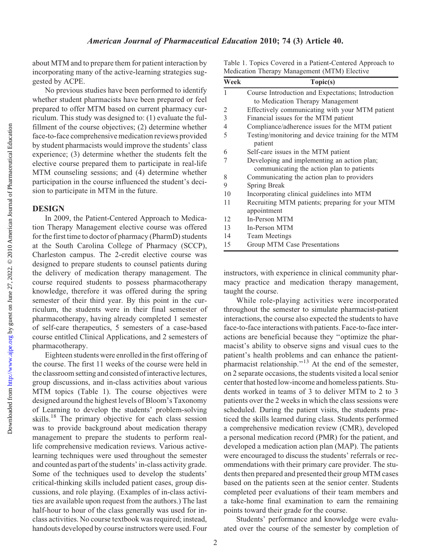### American Journal of Pharmaceutical Education 2010; 74 (3) Article 40.

about MTM and to prepare them for patient interaction by incorporating many of the active-learning strategies suggested by ACPE.

No previous studies have been performed to identify whether student pharmacists have been prepared or feel prepared to offer MTM based on current pharmacy curriculum. This study was designed to: (1) evaluate the fulfillment of the course objectives; (2) determine whether face-to-face comprehensive medication reviews provided by student pharmacists would improve the students' class experience; (3) determine whether the students felt the elective course prepared them to participate in real-life MTM counseling sessions; and (4) determine whether participation in the course influenced the student's decision to participate in MTM in the future.

### **DESIGN**

In 2009, the Patient-Centered Approach to Medication Therapy Management elective course was offered for the first time to doctor of pharmacy (PharmD) students at the South Carolina College of Pharmacy (SCCP), Charleston campus. The 2-credit elective course was designed to prepare students to counsel patients during the delivery of medication therapy management. The course required students to possess pharmacotherapy knowledge, therefore it was offered during the spring semester of their third year. By this point in the curriculum, the students were in their final semester of pharmacotherapy, having already completed 1 semester of self-care therapeutics, 5 semesters of a case-based course entitled Clinical Applications, and 2 semesters of pharmacotherapy.

Eighteen students were enrolled in the first offering of the course. The first 11 weeks of the course were held in the classroom setting and consisted of interactive lectures, group discussions, and in-class activities about various MTM topics (Table 1). The course objectives were designed around the highest levels of Bloom's Taxonomy of Learning to develop the students' problem-solving skills.18 The primary objective for each class session was to provide background about medication therapy management to prepare the students to perform reallife comprehensive medication reviews. Various activelearning techniques were used throughout the semester and counted as part of the students' in-class activity grade. Some of the techniques used to develop the students' critical-thinking skills included patient cases, group discussions, and role playing. (Examples of in-class activities are available upon request from the authors.) The last half-hour to hour of the class generally was used for inclass activities. No course textbook was required; instead, handouts developed by course instructors were used. Four

Table 1. Topics Covered in a Patient-Centered Approach to Medication Therapy Management (MTM) Elective

| Week | Topic(s)                                                                                 |
|------|------------------------------------------------------------------------------------------|
|      | Course Introduction and Expectations; Introduction                                       |
|      | to Medication Therapy Management                                                         |
| 2    | Effectively communicating with your MTM patient                                          |
| 3    | Financial issues for the MTM patient                                                     |
| 4    | Compliance/adherence issues for the MTM patient                                          |
| 5    | Testing/monitoring and device training for the MTM<br>patient                            |
| 6    | Self-care issues in the MTM patient                                                      |
| 7    | Developing and implementing an action plan;<br>communicating the action plan to patients |
| 8    | Communicating the action plan to providers                                               |
| 9    | Spring Break                                                                             |
| 10   | Incorporating clinical guidelines into MTM                                               |
| 11   | Recruiting MTM patients; preparing for your MTM<br>appointment                           |
| 12   | In-Person MTM                                                                            |
| 13   | In-Person MTM                                                                            |
| 14   | <b>Team Meetings</b>                                                                     |
| 15   | Group MTM Case Presentations                                                             |

instructors, with experience in clinical community pharmacy practice and medication therapy management, taught the course.

While role-playing activities were incorporated throughout the semester to simulate pharmacist-patient interactions, the course also expected the students to have face-to-face interactions with patients. Face-to-face interactions are beneficial because they ''optimize the pharmacist's ability to observe signs and visual cues to the patient's health problems and can enhance the patientpharmacist relationship."<sup>13</sup> At the end of the semester, on 2 separate occasions, the students visited a local senior center that hosted low-income and homeless patients. Students worked in teams of 3 to deliver MTM to 2 to 3 patients over the 2 weeks in which the class sessions were scheduled. During the patient visits, the students practiced the skills learned during class. Students performed a comprehensive medication review (CMR), developed a personal medication record (PMR) for the patient, and developed a medication action plan (MAP). The patients were encouraged to discuss the students' referrals or recommendations with their primary care provider. The students then prepared and presented their group MTM cases based on the patients seen at the senior center. Students completed peer evaluations of their team members and a take-home final examination to earn the remaining points toward their grade for the course.

Students' performance and knowledge were evaluated over the course of the semester by completion of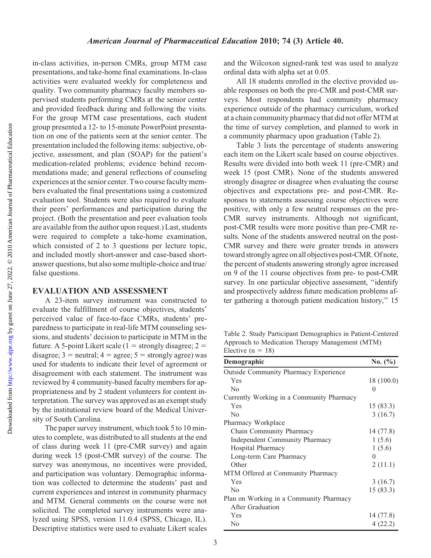Downloaded from

in-class activities, in-person CMRs, group MTM case presentations, and take-home final examinations. In-class activities were evaluated weekly for completeness and quality. Two community pharmacy faculty members supervised students performing CMRs at the senior center and provided feedback during and following the visits. For the group MTM case presentations, each student group presented a 12- to 15-minute PowerPoint presentation on one of the patients seen at the senior center. The presentation included the following items: subjective, objective, assessment, and plan (SOAP) for the patient's medication-related problems; evidence behind recommendations made; and general reflections of counseling experiences at the senior center. Two course faculty members evaluated the final presentations using a customized evaluation tool. Students were also required to evaluate their peers' performances and participation during the project. (Both the presentation and peer evaluation tools are available from the author upon request.) Last, students were required to complete a take-home examination, which consisted of 2 to 3 questions per lecture topic, and included mostly short-answer and case-based shortanswer questions, but also some multiple-choice and true/ false questions.

## EVALUATION AND ASSESSMENT

A 23-item survey instrument was constructed to evaluate the fulfillment of course objectives, students' perceived value of face-to-face CMRs, students' preparedness to participate in real-life MTM counseling sessions, and students' decision to participate in MTM in the future. A 5-point Likert scale (1 = strongly disagree; 2 = disagree;  $3 =$  neutral;  $4 =$  agree;  $5 =$  strongly agree) was used for students to indicate their level of agreement or disagreement with each statement. The instrument was reviewed by 4 community-based faculty members for appropriateness and by 2 student volunteers for content interpretation. The survey was approved as an exempt study by the institutional review board of the Medical University of South Carolina.

The paper survey instrument, which took 5 to 10 minutes to complete, was distributed to all students at the end of class during week 11 (pre-CMR survey) and again during week 15 (post-CMR survey) of the course. The survey was anonymous, no incentives were provided, and participation was voluntary. Demographic information was collected to determine the students' past and current experiences and interest in community pharmacy and MTM. General comments on the course were not solicited. The completed survey instruments were analyzed using SPSS, version 11.0.4 (SPSS, Chicago, IL). Descriptive statistics were used to evaluate Likert scales and the Wilcoxon signed-rank test was used to analyze ordinal data with alpha set at 0.05.

All 18 students enrolled in the elective provided usable responses on both the pre-CMR and post-CMR surveys. Most respondents had community pharmacy experience outside of the pharmacy curriculum, worked at a chain community pharmacy that did not offer MTM at the time of survey completion, and planned to work in a community pharmacy upon graduation (Table 2).

Table 3 lists the percentage of students answering each item on the Likert scale based on course objectives. Results were divided into both week 11 (pre-CMR) and week 15 (post CMR). None of the students answered strongly disagree or disagree when evaluating the course objectives and expectations pre- and post-CMR. Responses to statements assessing course objectives were positive, with only a few neutral responses on the pre-CMR survey instruments. Although not significant, post-CMR results were more positive than pre-CMR results. None of the students answered neutral on the post-CMR survey and there were greater trends in answers toward strongly agree on all objectives post-CMR. Of note, the percent of students answering strongly agree increased on 9 of the 11 course objectives from pre- to post-CMR survey. In one particular objective assessment, ''identify and prospectively address future medication problems after gathering a thorough patient medication history,'' 15

Table 2. Study Participant Demographics in Patient-Centered Approach to Medication Therapy Management (MTM) Elective  $(n = 18)$ 

| Demographic                                  | No. (%)    |
|----------------------------------------------|------------|
| <b>Outside Community Pharmacy Experience</b> |            |
| Yes                                          | 18 (100.0) |
| $\rm No$                                     | $\theta$   |
| Currently Working in a Community Pharmacy    |            |
| Yes                                          | 15(83.3)   |
| $\rm No$                                     | 3(16.7)    |
| Pharmacy Workplace                           |            |
| Chain Community Pharmacy                     | 14 (77.8)  |
| Independent Community Pharmacy               | 1(5.6)     |
| Hospital Pharmacy                            | 1(5.6)     |
| Long-term Care Pharmacy                      | 0          |
| Other                                        | 2(11.1)    |
| MTM Offered at Community Pharmacy            |            |
| Yes                                          | 3(16.7)    |
| N <sub>0</sub>                               | 15(83.3)   |
| Plan on Working in a Community Pharmacy      |            |
| After Graduation                             |            |
| Yes                                          | 14 (77.8)  |
| No                                           | 4(22.2)    |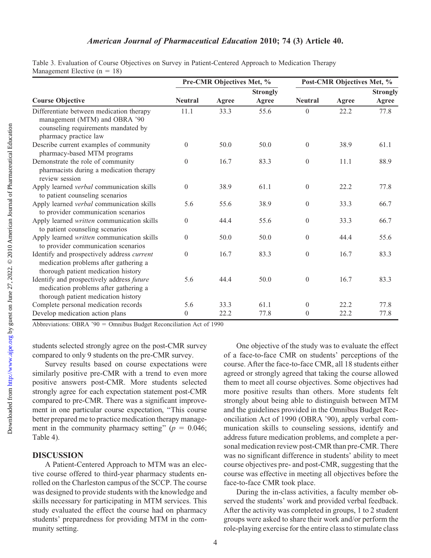# American Journal of Pharmaceutical Education 2010; 74 (3) Article 40.

|                                                                                                                                           |                | Pre-CMR Objectives Met, % |                 | Post-CMR Objectives Met, % |       |                 |
|-------------------------------------------------------------------------------------------------------------------------------------------|----------------|---------------------------|-----------------|----------------------------|-------|-----------------|
|                                                                                                                                           |                |                           | <b>Strongly</b> |                            |       | <b>Strongly</b> |
| <b>Course Objective</b>                                                                                                                   | <b>Neutral</b> | Agree                     | Agree           | <b>Neutral</b>             | Agree | Agree           |
| Differentiate between medication therapy<br>management (MTM) and OBRA '90<br>counseling requirements mandated by<br>pharmacy practice law | 11.1           | 33.3                      | 55.6            | $\theta$                   | 22.2  | 77.8            |
| Describe current examples of community<br>pharmacy-based MTM programs                                                                     | $\Omega$       | 50.0                      | 50.0            | $\boldsymbol{0}$           | 38.9  | 61.1            |
| Demonstrate the role of community<br>pharmacists during a medication therapy<br>review session                                            | $\theta$       | 16.7                      | 83.3            | $\overline{0}$             | 11.1  | 88.9            |
| Apply learned verbal communication skills<br>to patient counseling scenarios                                                              | $\theta$       | 38.9                      | 61.1            | $\overline{0}$             | 22.2  | 77.8            |
| Apply learned verbal communication skills<br>to provider communication scenarios                                                          | 5.6            | 55.6                      | 38.9            | $\overline{0}$             | 33.3  | 66.7            |
| Apply learned written communication skills<br>to patient counseling scenarios                                                             | $\theta$       | 44.4                      | 55.6            | $\overline{0}$             | 33.3  | 66.7            |
| Apply learned written communication skills<br>to provider communication scenarios                                                         | $\overline{0}$ | 50.0                      | 50.0            | $\boldsymbol{0}$           | 44.4  | 55.6            |
| Identify and prospectively address current<br>medication problems after gathering a<br>thorough patient medication history                | $\theta$       | 16.7                      | 83.3            | $\overline{0}$             | 16.7  | 83.3            |
| Identify and prospectively address future<br>medication problems after gathering a<br>thorough patient medication history                 | 5.6            | 44.4                      | 50.0            | $\overline{0}$             | 16.7  | 83.3            |
| Complete personal medication records                                                                                                      | 5.6            | 33.3                      | 61.1            | $\overline{0}$             | 22.2  | 77.8            |
| Develop medication action plans                                                                                                           | $\overline{0}$ | 22.2                      | 77.8            | $\theta$                   | 22.2  | 77.8            |

Table 3. Evaluation of Course Objectives on Survey in Patient-Centered Approach to Medication Therapy Management Elective  $(n = 18)$ 

Abbreviations: OBRA '90 = Omnibus Budget Reconciliation Act of 1990

students selected strongly agree on the post-CMR survey compared to only 9 students on the pre-CMR survey.

Survey results based on course expectations were similarly positive pre-CMR with a trend to even more positive answers post-CMR. More students selected strongly agree for each expectation statement post-CMR compared to pre-CMR. There was a significant improvement in one particular course expectation, ''This course better prepared me to practice medication therapy management in the community pharmacy setting" ( $p = 0.046$ ; Table 4).

#### DISCUSSION

A Patient-Centered Approach to MTM was an elective course offered to third-year pharmacy students enrolled on the Charleston campus of the SCCP. The course was designed to provide students with the knowledge and skills necessary for participating in MTM services. This study evaluated the effect the course had on pharmacy students' preparedness for providing MTM in the community setting.

One objective of the study was to evaluate the effect of a face-to-face CMR on students' perceptions of the course. After the face-to-face CMR, all 18 students either agreed or strongly agreed that taking the course allowed them to meet all course objectives. Some objectives had more positive results than others. More students felt strongly about being able to distinguish between MTM and the guidelines provided in the Omnibus Budget Reconciliation Act of 1990 (OBRA '90), apply verbal communication skills to counseling sessions, identify and address future medication problems, and complete a personal medication review post-CMR than pre-CMR. There was no significant difference in students' ability to meet course objectives pre- and post-CMR, suggesting that the course was effective in meeting all objectives before the face-to-face CMR took place.

During the in-class activities, a faculty member observed the students' work and provided verbal feedback. After the activity was completed in groups, 1 to 2 student groups were asked to share their work and/or perform the role-playing exercise for the entire class to stimulate class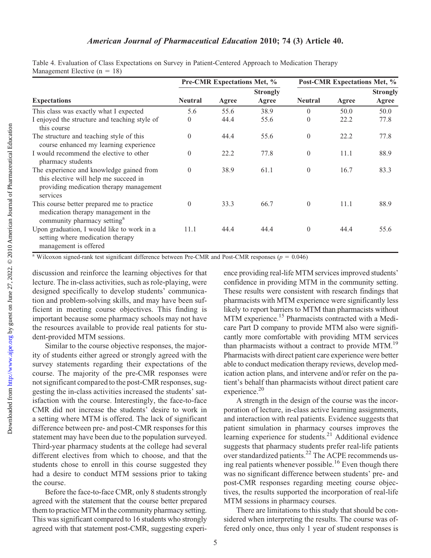|                                                                                                                                          |                | <b>Pre-CMR Expectations Met, %</b> |                          | Post-CMR Expectations Met, % |       |                          |
|------------------------------------------------------------------------------------------------------------------------------------------|----------------|------------------------------------|--------------------------|------------------------------|-------|--------------------------|
| <b>Expectations</b>                                                                                                                      | <b>Neutral</b> | Agree                              | <b>Strongly</b><br>Agree | <b>Neutral</b>               | Agree | <b>Strongly</b><br>Agree |
| This class was exactly what I expected                                                                                                   | 5.6            | 55.6                               | 38.9                     | $\left( \right)$             | 50.0  | 50.0                     |
| I enjoyed the structure and teaching style of<br>this course                                                                             | $\theta$       | 44.4                               | 55.6                     | $\theta$                     | 22.2  | 77.8                     |
| The structure and teaching style of this<br>course enhanced my learning experience                                                       | $\theta$       | 44.4                               | 55.6                     | $\theta$                     | 22.2  | 77.8                     |
| I would recommend the elective to other<br>pharmacy students                                                                             | $\theta$       | 22.2                               | 77.8                     | $\theta$                     | 11.1  | 88.9                     |
| The experience and knowledge gained from<br>this elective will help me succeed in<br>providing medication therapy management<br>services | $\theta$       | 38.9                               | 61.1                     | $\theta$                     | 16.7  | 83.3                     |
| This course better prepared me to practice<br>medication therapy management in the<br>community pharmacy setting <sup>a</sup>            | $\theta$       | 33.3                               | 66.7                     | $\theta$                     | 11.1  | 88.9                     |
| Upon graduation, I would like to work in a<br>setting where medication therapy<br>management is offered                                  | 11.1           | 44.4                               | 44.4                     | $\Omega$                     | 44.4  | 55.6                     |

Table 4. Evaluation of Class Expectations on Survey in Patient-Centered Approach to Medication Therapy Management Elective  $(n = 18)$ 

<sup>a</sup> Wilcoxon signed-rank test significant difference between Pre-CMR and Post-CMR responses ( $p = 0.046$ )

discussion and reinforce the learning objectives for that lecture. The in-class activities, such as role-playing, were designed specifically to develop students' communication and problem-solving skills, and may have been sufficient in meeting course objectives. This finding is important because some pharmacy schools may not have the resources available to provide real patients for student-provided MTM sessions.

Similar to the course objective responses, the majority of students either agreed or strongly agreed with the survey statements regarding their expectations of the course. The majority of the pre-CMR responses were not significant compared to the post-CMR responses, suggesting the in-class activities increased the students' satisfaction with the course. Interestingly, the face-to-face CMR did not increase the students' desire to work in a setting where MTM is offered. The lack of significant difference between pre- and post-CMR responses for this statement may have been due to the population surveyed. Third-year pharmacy students at the college had several different electives from which to choose, and that the students chose to enroll in this course suggested they had a desire to conduct MTM sessions prior to taking the course.

Before the face-to-face CMR, only 8 students strongly agreed with the statement that the course better prepared them to practice MTM in the community pharmacy setting. This was significant compared to 16 students who strongly agreed with that statement post-CMR, suggesting experience providing real-life MTM services improved students' confidence in providing MTM in the community setting. These results were consistent with research findings that pharmacists with MTM experience were significantly less likely to report barriers to MTM than pharmacists without MTM experience.<sup>15</sup> Pharmacists contracted with a Medicare Part D company to provide MTM also were significantly more comfortable with providing MTM services than pharmacists without a contract to provide MTM.<sup>19</sup> Pharmacists with direct patient care experience were better able to conduct medication therapy reviews, develop medication action plans, and intervene and/or refer on the patient's behalf than pharmacists without direct patient care experience.<sup>20</sup>

A strength in the design of the course was the incorporation of lecture, in-class active learning assignments, and interaction with real patients. Evidence suggests that patient simulation in pharmacy courses improves the learning experience for students.<sup>21</sup> Additional evidence suggests that pharmacy students prefer real-life patients over standardized patients.22 The ACPE recommends using real patients whenever possible.<sup>16</sup> Even though there was no significant difference between students' pre- and post-CMR responses regarding meeting course objectives, the results supported the incorporation of real-life MTM sessions in pharmacy courses.

There are limitations to this study that should be considered when interpreting the results. The course was offered only once, thus only 1 year of student responses is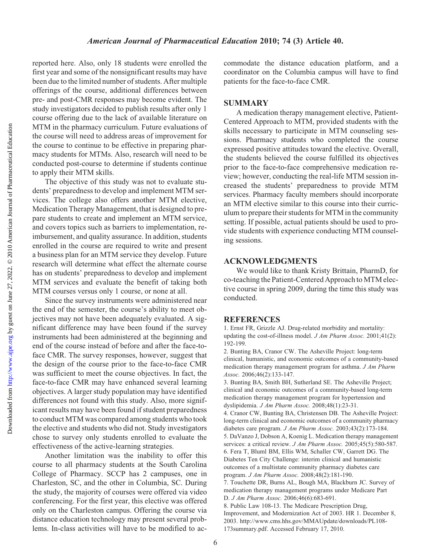Downloaded from

reported here. Also, only 18 students were enrolled the first year and some of the nonsignificant results may have been due to the limited number of students. After multiple offerings of the course, additional differences between pre- and post-CMR responses may become evident. The study investigators decided to publish results after only 1 course offering due to the lack of available literature on MTM in the pharmacy curriculum. Future evaluations of the course will need to address areas of improvement for the course to continue to be effective in preparing pharmacy students for MTMs. Also, research will need to be conducted post-course to determine if students continue to apply their MTM skills.

The objective of this study was not to evaluate students' preparedness to develop and implement MTM services. The college also offers another MTM elective, Medication Therapy Management, that is designed to prepare students to create and implement an MTM service, and covers topics such as barriers to implementation, reimbursement, and quality assurance. In addition, students enrolled in the course are required to write and present a business plan for an MTM service they develop. Future research will determine what effect the alternate course has on students' preparedness to develop and implement MTM services and evaluate the benefit of taking both MTM courses versus only 1 course, or none at all.

Since the survey instruments were administered near the end of the semester, the course's ability to meet objectives may not have been adequately evaluated. A significant difference may have been found if the survey instruments had been administered at the beginning and end of the course instead of before and after the face-toface CMR. The survey responses, however, suggest that the design of the course prior to the face-to-face CMR was sufficient to meet the course objectives. In fact, the face-to-face CMR may have enhanced several learning objectives. A larger study population may have identified differences not found with this study. Also, more significant results may have been found if student preparedness to conduct MTM was compared among students who took the elective and students who did not. Study investigators chose to survey only students enrolled to evaluate the effectiveness of the active-learning strategies.

Another limitation was the inability to offer this course to all pharmacy students at the South Carolina College of Pharmacy. SCCP has 2 campuses, one in Charleston, SC, and the other in Columbia, SC. During the study, the majority of courses were offered via video conferencing. For the first year, this elective was offered only on the Charleston campus. Offering the course via distance education technology may present several problems. In-class activities will have to be modified to accommodate the distance education platform, and a coordinator on the Columbia campus will have to find patients for the face-to-face CMR.

# **SUMMARY**

A medication therapy management elective, Patient-Centered Approach to MTM, provided students with the skills necessary to participate in MTM counseling sessions. Pharmacy students who completed the course expressed positive attitudes toward the elective. Overall, the students believed the course fulfilled its objectives prior to the face-to-face comprehensive medication review; however, conducting the real-life MTM session increased the students' preparedness to provide MTM services. Pharmacy faculty members should incorporate an MTM elective similar to this course into their curriculum to prepare their students for MTM in the community setting. If possible, actual patients should be used to provide students with experience conducting MTM counseling sessions.

# ACKNOWLEDGMENTS

We would like to thank Kristy Brittain, PharmD, for co-teaching the Patient-Centered Approach to MTM elective course in spring 2009, during the time this study was conducted.

#### **REFERENCES**

1. Ernst FR, Grizzle AJ. Drug-related morbidity and mortality: updating the cost-of-illness model. J Am Pharm Assoc. 2001;41(2): 192-199.

2. Bunting BA, Cranor CW. The Asheville Project: long-term clinical, humanistic, and economic outcomes of a community-based medication therapy management program for asthma. J Am Pharm Assoc. 2006;46(2):133-147.

3. Bunting BA, Smith BH, Sutherland SE. The Asheville Project; clinical and economic outcomes of a community-based long-term medication therapy management program for hypertension and dyslipidemia. J Am Pharm Assoc. 2008;48(1):23-31.

4. Cranor CW, Bunting BA, Christensen DB. The Asheville Project: long-term clinical and economic outcomes of a community pharmacy diabetes care program. J Am Pharm Assoc. 2003;43(2):173-184. 5. DaVanzo J, Dobson A, Koenig L. Medication therapy management services: a critical review. J Am Pharm Assoc. 2005;45(5):580-587. 6. Fera T, Bluml BM, Ellis WM, Schaller CW, Garrett DG. The Diabetes Ten City Challenge: interim clinical and humanistic outcomes of a multistate community pharmacy diabetes care program. J Am Pharm Assoc. 2008;48(2):181-190. 7. Touchette DR, Burns AL, Bough MA, Blackburn JC. Survey of medication therapy management programs under Medicare Part D. J Am Pharm Assoc. 2006;46(6):683-691. 8. Public Law 108-13. The Medicare Prescription Drug,

Improvement, and Modernization Act of 2003. HR 1. December 8, 2003. http://www.cms.hhs.gov/MMAUpdate/downloads/PL108- 173summary.pdf. Accessed February 17, 2010.